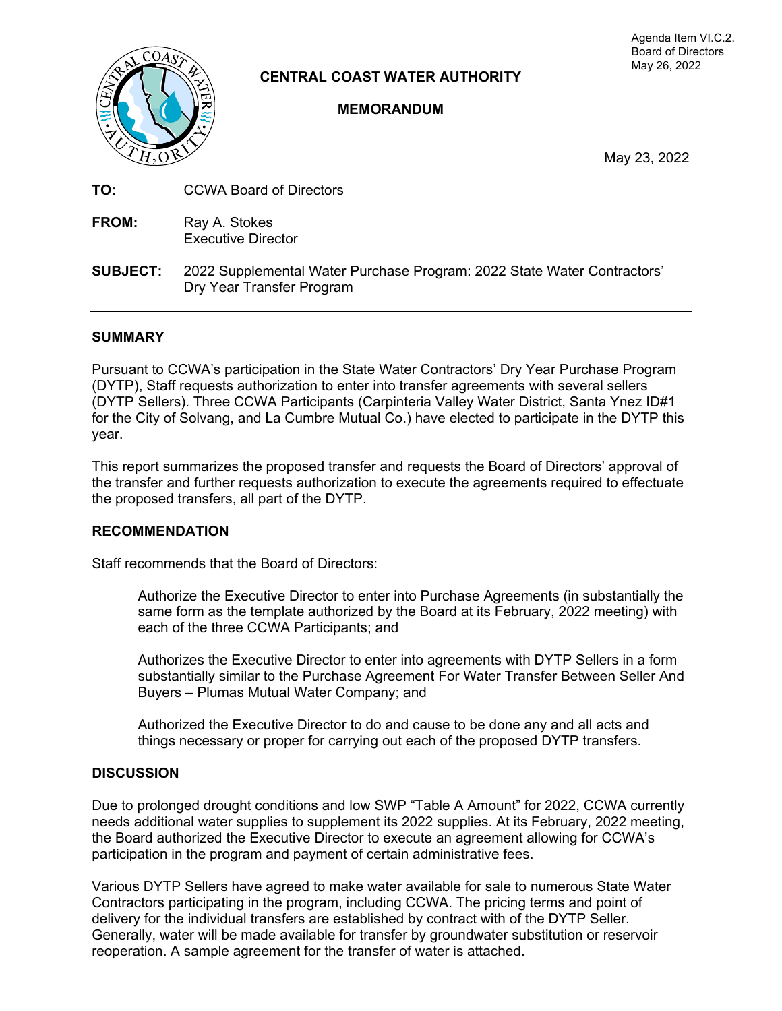

**CENTRAL COAST WATER AUTHORITY** 

## **MEMORANDUM**

Agenda Item VI.C.2. Board of Directors May 26, 2022

May 23, 2022

- **TO: CCWA Board of Directors**
- **FROM:** Ray A. Stokes Executive Director
- **SUBJECT:** 2022 Supplemental Water Purchase Program: 2022 State Water Contractors' Dry Year Transfer Program

## **SUMMARY**

Pursuant to CCWA's participation in the State Water Contractors' Dry Year Purchase Program (DYTP), Staff requests authorization to enter into transfer agreements with several sellers (DYTP Sellers). Three CCWA Participants (Carpinteria Valley Water District, Santa Ynez ID#1 for the City of Solvang, and La Cumbre Mutual Co.) have elected to participate in the DYTP this year.

This report summarizes the proposed transfer and requests the Board of Directors' approval of the transfer and further requests authorization to execute the agreements required to effectuate the proposed transfers, all part of the DYTP.

#### **RECOMMENDATION**

Staff recommends that the Board of Directors:

Authorize the Executive Director to enter into Purchase Agreements (in substantially the same form as the template authorized by the Board at its February, 2022 meeting) with each of the three CCWA Participants; and

Authorizes the Executive Director to enter into agreements with DYTP Sellers in a form substantially similar to the Purchase Agreement For Water Transfer Between Seller And Buyers – Plumas Mutual Water Company; and

Authorized the Executive Director to do and cause to be done any and all acts and things necessary or proper for carrying out each of the proposed DYTP transfers.

#### **DISCUSSION**

Due to prolonged drought conditions and low SWP "Table A Amount" for 2022, CCWA currently needs additional water supplies to supplement its 2022 supplies. At its February, 2022 meeting, the Board authorized the Executive Director to execute an agreement allowing for CCWA's participation in the program and payment of certain administrative fees.

Various DYTP Sellers have agreed to make water available for sale to numerous State Water Contractors participating in the program, including CCWA. The pricing terms and point of delivery for the individual transfers are established by contract with of the DYTP Seller. Generally, water will be made available for transfer by groundwater substitution or reservoir reoperation. A sample agreement for the transfer of water is attached.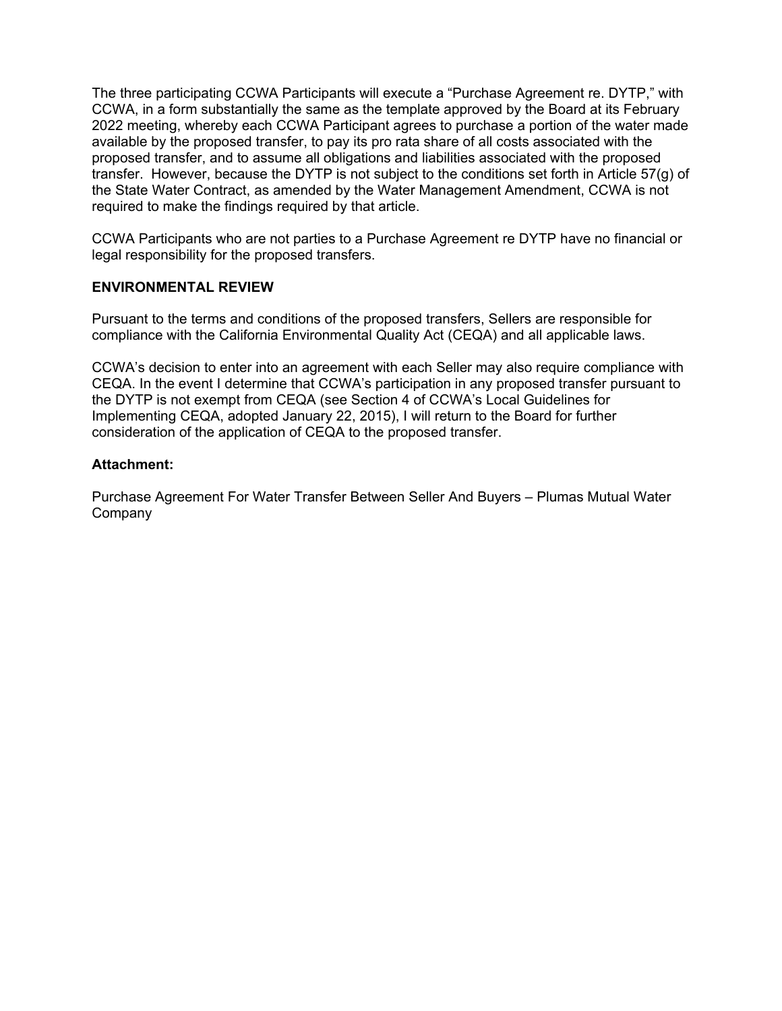The three participating CCWA Participants will execute a "Purchase Agreement re. DYTP," with CCWA, in a form substantially the same as the template approved by the Board at its February 2022 meeting, whereby each CCWA Participant agrees to purchase a portion of the water made available by the proposed transfer, to pay its pro rata share of all costs associated with the proposed transfer, and to assume all obligations and liabilities associated with the proposed transfer. However, because the DYTP is not subject to the conditions set forth in Article 57(g) of the State Water Contract, as amended by the Water Management Amendment, CCWA is not required to make the findings required by that article.

CCWA Participants who are not parties to a Purchase Agreement re DYTP have no financial or legal responsibility for the proposed transfers.

## **ENVIRONMENTAL REVIEW**

Pursuant to the terms and conditions of the proposed transfers, Sellers are responsible for compliance with the California Environmental Quality Act (CEQA) and all applicable laws.

CCWA's decision to enter into an agreement with each Seller may also require compliance with CEQA. In the event I determine that CCWA's participation in any proposed transfer pursuant to the DYTP is not exempt from CEQA (see Section 4 of CCWA's Local Guidelines for Implementing CEQA, adopted January 22, 2015), I will return to the Board for further consideration of the application of CEQA to the proposed transfer.

#### **Attachment:**

Purchase Agreement For Water Transfer Between Seller And Buyers – Plumas Mutual Water Company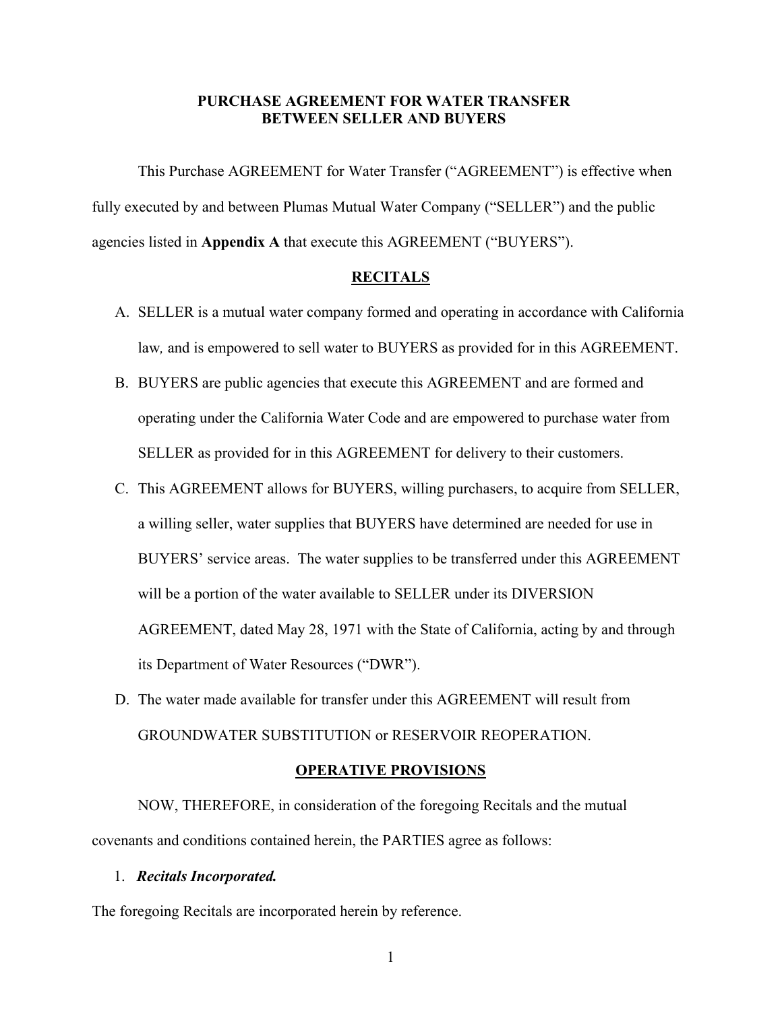## **PURCHASE AGREEMENT FOR WATER TRANSFER BETWEEN SELLER AND BUYERS**

This Purchase AGREEMENT for Water Transfer ("AGREEMENT") is effective when fully executed by and between Plumas Mutual Water Company ("SELLER") and the public agencies listed in **Appendix A** that execute this AGREEMENT ("BUYERS").

#### **RECITALS**

- A. SELLER is a mutual water company formed and operating in accordance with California law*,* and is empowered to sell water to BUYERS as provided for in this AGREEMENT.
- B. BUYERS are public agencies that execute this AGREEMENT and are formed and operating under the California Water Code and are empowered to purchase water from SELLER as provided for in this AGREEMENT for delivery to their customers.
- C. This AGREEMENT allows for BUYERS, willing purchasers, to acquire from SELLER, a willing seller, water supplies that BUYERS have determined are needed for use in BUYERS' service areas. The water supplies to be transferred under this AGREEMENT will be a portion of the water available to SELLER under its DIVERSION AGREEMENT, dated May 28, 1971 with the State of California, acting by and through its Department of Water Resources ("DWR").
- D. The water made available for transfer under this AGREEMENT will result from GROUNDWATER SUBSTITUTION or RESERVOIR REOPERATION.

#### **OPERATIVE PROVISIONS**

NOW, THEREFORE, in consideration of the foregoing Recitals and the mutual covenants and conditions contained herein, the PARTIES agree as follows:

#### 1. *Recitals Incorporated.*

The foregoing Recitals are incorporated herein by reference.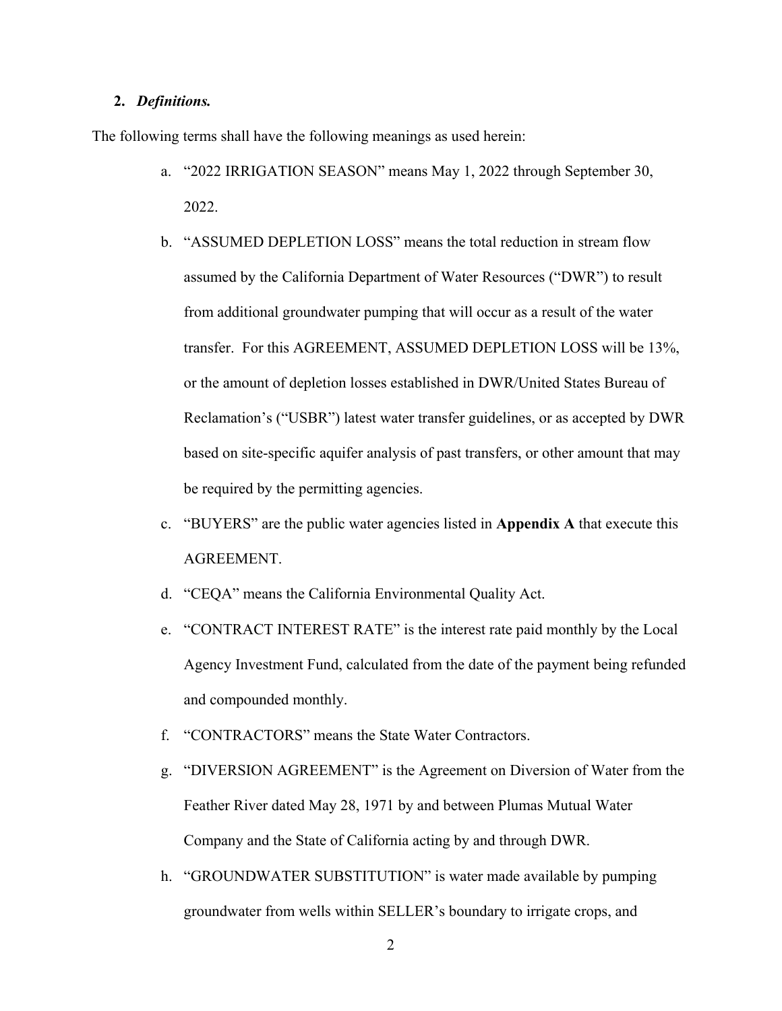#### **2.** *Definitions.*

The following terms shall have the following meanings as used herein:

- a. "2022 IRRIGATION SEASON" means May 1, 2022 through September 30, 2022.
- b. "ASSUMED DEPLETION LOSS" means the total reduction in stream flow assumed by the California Department of Water Resources ("DWR") to result from additional groundwater pumping that will occur as a result of the water transfer. For this AGREEMENT, ASSUMED DEPLETION LOSS will be 13%, or the amount of depletion losses established in DWR/United States Bureau of Reclamation's ("USBR") latest water transfer guidelines, or as accepted by DWR based on site-specific aquifer analysis of past transfers, or other amount that may be required by the permitting agencies.
- c. "BUYERS" are the public water agencies listed in **Appendix A** that execute this AGREEMENT.
- d. "CEQA" means the California Environmental Quality Act.
- e. "CONTRACT INTEREST RATE" is the interest rate paid monthly by the Local Agency Investment Fund, calculated from the date of the payment being refunded and compounded monthly.
- f. "CONTRACTORS" means the State Water Contractors.
- g. "DIVERSION AGREEMENT" is the Agreement on Diversion of Water from the Feather River dated May 28, 1971 by and between Plumas Mutual Water Company and the State of California acting by and through DWR.
- h. "GROUNDWATER SUBSTITUTION" is water made available by pumping groundwater from wells within SELLER's boundary to irrigate crops, and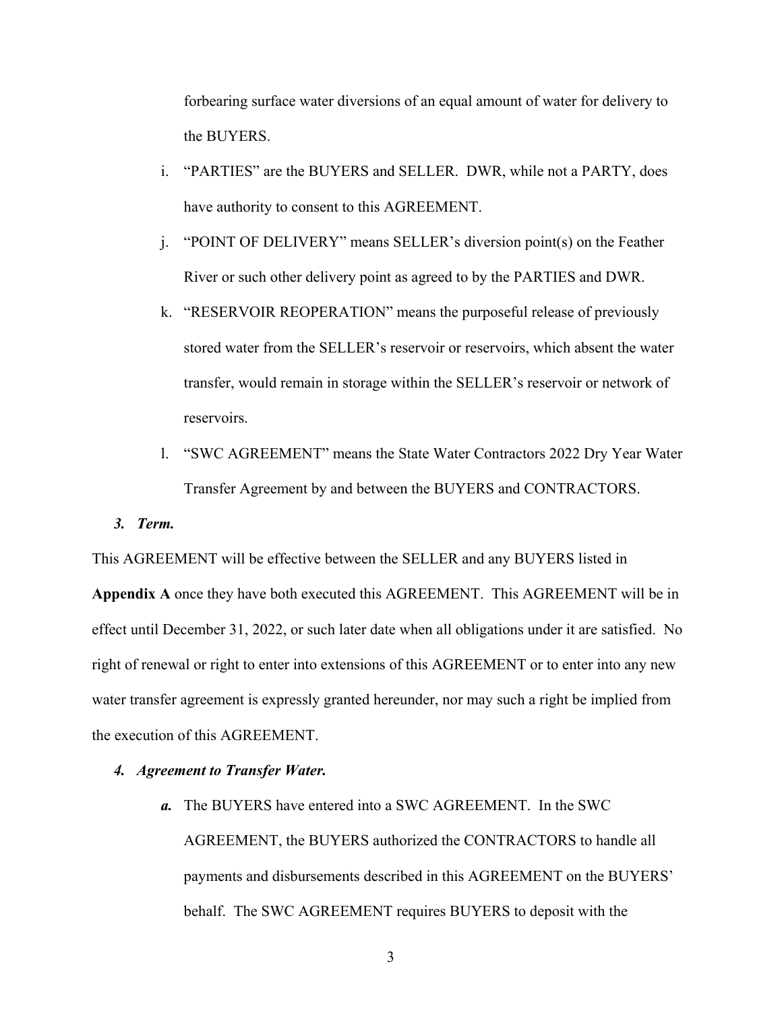forbearing surface water diversions of an equal amount of water for delivery to the BUYERS.

- i. "PARTIES" are the BUYERS and SELLER. DWR, while not a PARTY, does have authority to consent to this AGREEMENT.
- j. "POINT OF DELIVERY" means SELLER's diversion point(s) on the Feather River or such other delivery point as agreed to by the PARTIES and DWR.
- k. "RESERVOIR REOPERATION" means the purposeful release of previously stored water from the SELLER's reservoir or reservoirs, which absent the water transfer, would remain in storage within the SELLER's reservoir or network of reservoirs.
- l. "SWC AGREEMENT" means the State Water Contractors 2022 Dry Year Water Transfer Agreement by and between the BUYERS and CONTRACTORS.

#### *3. Term.*

This AGREEMENT will be effective between the SELLER and any BUYERS listed in

**Appendix A** once they have both executed this AGREEMENT. This AGREEMENT will be in effect until December 31, 2022, or such later date when all obligations under it are satisfied. No right of renewal or right to enter into extensions of this AGREEMENT or to enter into any new water transfer agreement is expressly granted hereunder, nor may such a right be implied from the execution of this AGREEMENT.

#### *4. Agreement to Transfer Water.*

*a.* The BUYERS have entered into a SWC AGREEMENT. In the SWC AGREEMENT, the BUYERS authorized the CONTRACTORS to handle all payments and disbursements described in this AGREEMENT on the BUYERS' behalf. The SWC AGREEMENT requires BUYERS to deposit with the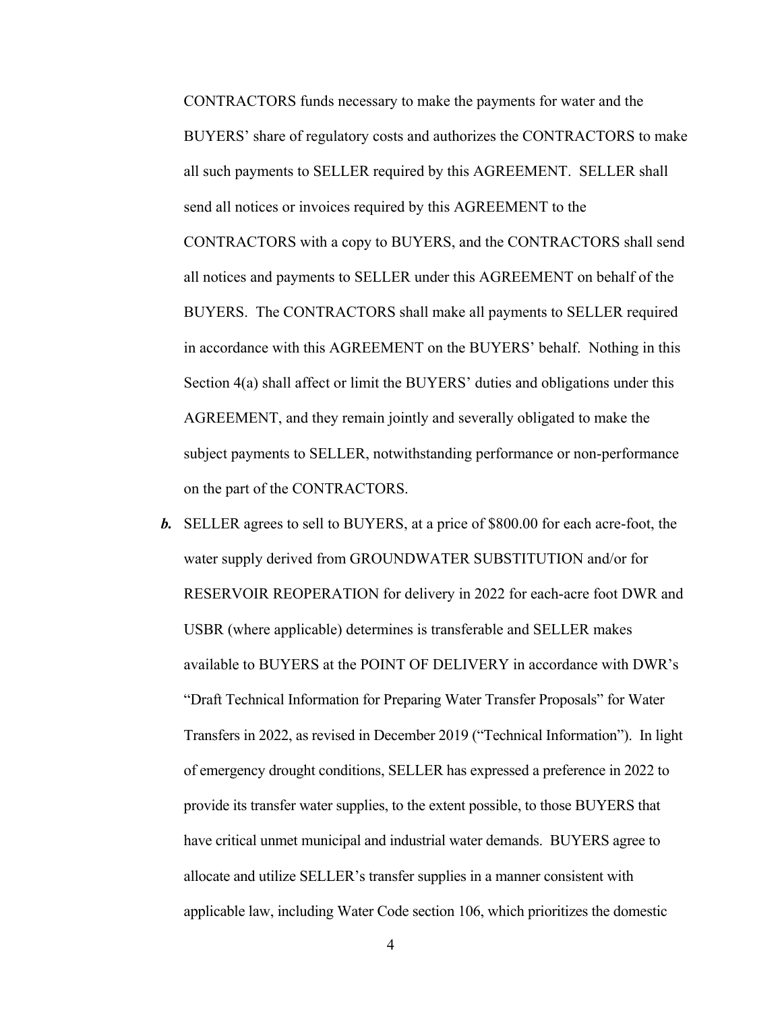CONTRACTORS funds necessary to make the payments for water and the BUYERS' share of regulatory costs and authorizes the CONTRACTORS to make all such payments to SELLER required by this AGREEMENT. SELLER shall send all notices or invoices required by this AGREEMENT to the CONTRACTORS with a copy to BUYERS, and the CONTRACTORS shall send all notices and payments to SELLER under this AGREEMENT on behalf of the BUYERS. The CONTRACTORS shall make all payments to SELLER required in accordance with this AGREEMENT on the BUYERS' behalf. Nothing in this Section 4(a) shall affect or limit the BUYERS' duties and obligations under this AGREEMENT, and they remain jointly and severally obligated to make the subject payments to SELLER, notwithstanding performance or non-performance on the part of the CONTRACTORS.

*b.* SELLER agrees to sell to BUYERS, at a price of \$800.00 for each acre-foot, the water supply derived from GROUNDWATER SUBSTITUTION and/or for RESERVOIR REOPERATION for delivery in 2022 for each-acre foot DWR and USBR (where applicable) determines is transferable and SELLER makes available to BUYERS at the POINT OF DELIVERY in accordance with DWR's "Draft Technical Information for Preparing Water Transfer Proposals" for Water Transfers in 2022, as revised in December 2019 ("Technical Information"). In light of emergency drought conditions, SELLER has expressed a preference in 2022 to provide its transfer water supplies, to the extent possible, to those BUYERS that have critical unmet municipal and industrial water demands. BUYERS agree to allocate and utilize SELLER's transfer supplies in a manner consistent with applicable law, including Water Code section 106, which prioritizes the domestic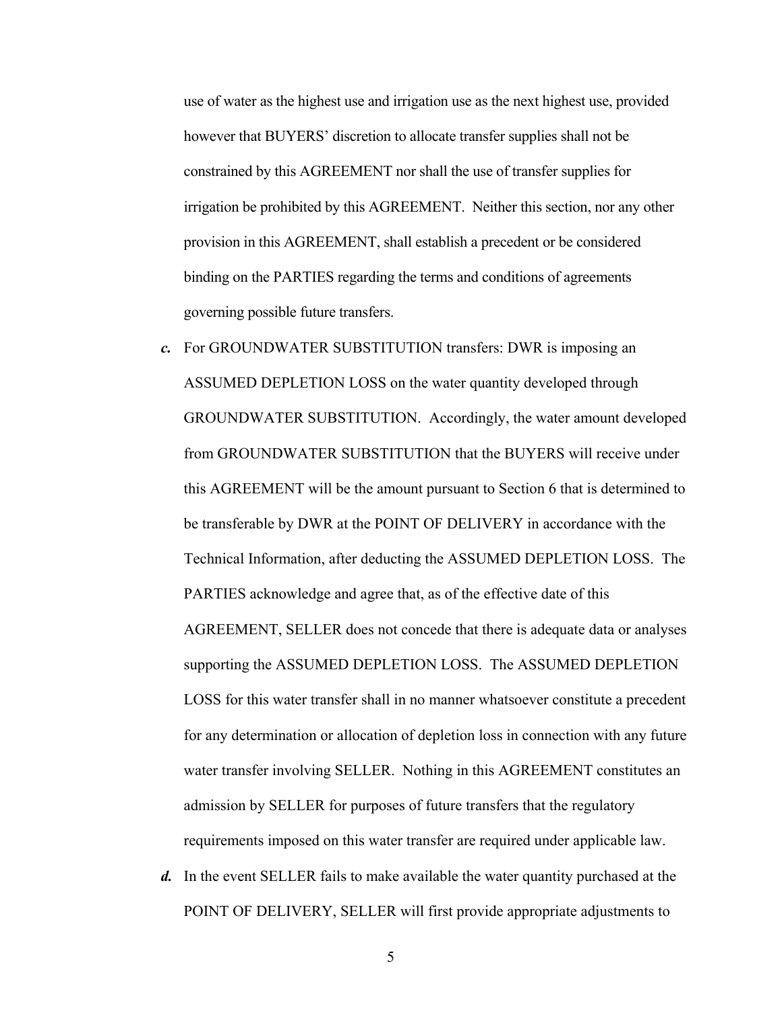use of water as the highest use and irrigation use as the next highest use, provided however that BUYERS' discretion to allocate transfer supplies shall not be constrained by this AGREEMENT nor shall the use of transfer supplies for irrigation be prohibited by this AGREEMENT. Neither this section, nor any other provision in this AGREEMENT, shall establish a precedent or be considered binding on the PARTIES regarding the terms and conditions of agreements governing possible future transfers.

- *c.* For GROUNDWATER SUBSTITUTION transfers: DWR is imposing an ASSUMED DEPLETION LOSS on the water quantity developed through GROUNDWATER SUBSTITUTION. Accordingly, the water amount developed from GROUNDWATER SUBSTITUTION that the BUYERS will receive under this AGREEMENT will be the amount pursuant to Section 6 that is determined to be transferable by DWR at the POINT OF DELIVERY in accordance with the Technical Information, after deducting the ASSUMED DEPLETION LOSS. The PARTIES acknowledge and agree that, as of the effective date of this AGREEMENT, SELLER does not concede that there is adequate data or analyses supporting the ASSUMED DEPLETION LOSS. The ASSUMED DEPLETION LOSS for this water transfer shall in no manner whatsoever constitute a precedent for any determination or allocation of depletion loss in connection with any future water transfer involving SELLER. Nothing in this AGREEMENT constitutes an admission by SELLER for purposes of future transfers that the regulatory requirements imposed on this water transfer are required under applicable law.
- *d.* In the event SELLER fails to make available the water quantity purchased at the POINT OF DELIVERY, SELLER will first provide appropriate adjustments to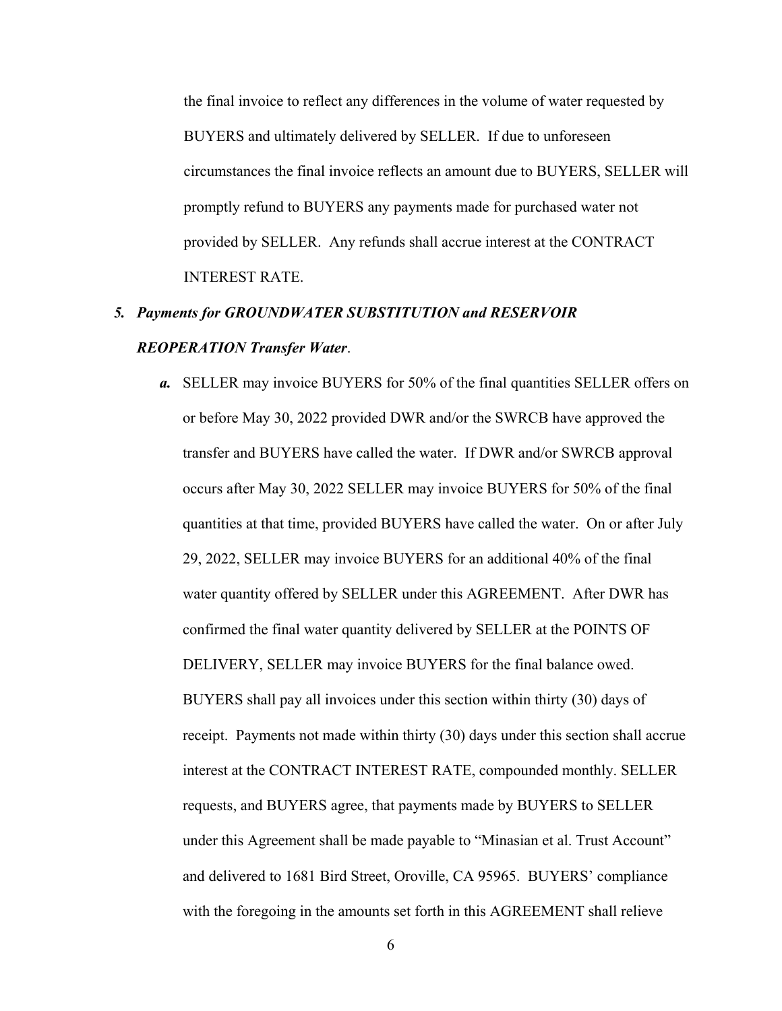the final invoice to reflect any differences in the volume of water requested by BUYERS and ultimately delivered by SELLER. If due to unforeseen circumstances the final invoice reflects an amount due to BUYERS, SELLER will promptly refund to BUYERS any payments made for purchased water not provided by SELLER. Any refunds shall accrue interest at the CONTRACT INTEREST RATE.

# *5. Payments for GROUNDWATER SUBSTITUTION and RESERVOIR REOPERATION Transfer Water*.

*a.* SELLER may invoice BUYERS for 50% of the final quantities SELLER offers on or before May 30, 2022 provided DWR and/or the SWRCB have approved the transfer and BUYERS have called the water. If DWR and/or SWRCB approval occurs after May 30, 2022 SELLER may invoice BUYERS for 50% of the final quantities at that time, provided BUYERS have called the water. On or after July 29, 2022, SELLER may invoice BUYERS for an additional 40% of the final water quantity offered by SELLER under this AGREEMENT. After DWR has confirmed the final water quantity delivered by SELLER at the POINTS OF DELIVERY, SELLER may invoice BUYERS for the final balance owed. BUYERS shall pay all invoices under this section within thirty (30) days of receipt. Payments not made within thirty (30) days under this section shall accrue interest at the CONTRACT INTEREST RATE, compounded monthly. SELLER requests, and BUYERS agree, that payments made by BUYERS to SELLER under this Agreement shall be made payable to "Minasian et al. Trust Account" and delivered to 1681 Bird Street, Oroville, CA 95965. BUYERS' compliance with the foregoing in the amounts set forth in this AGREEMENT shall relieve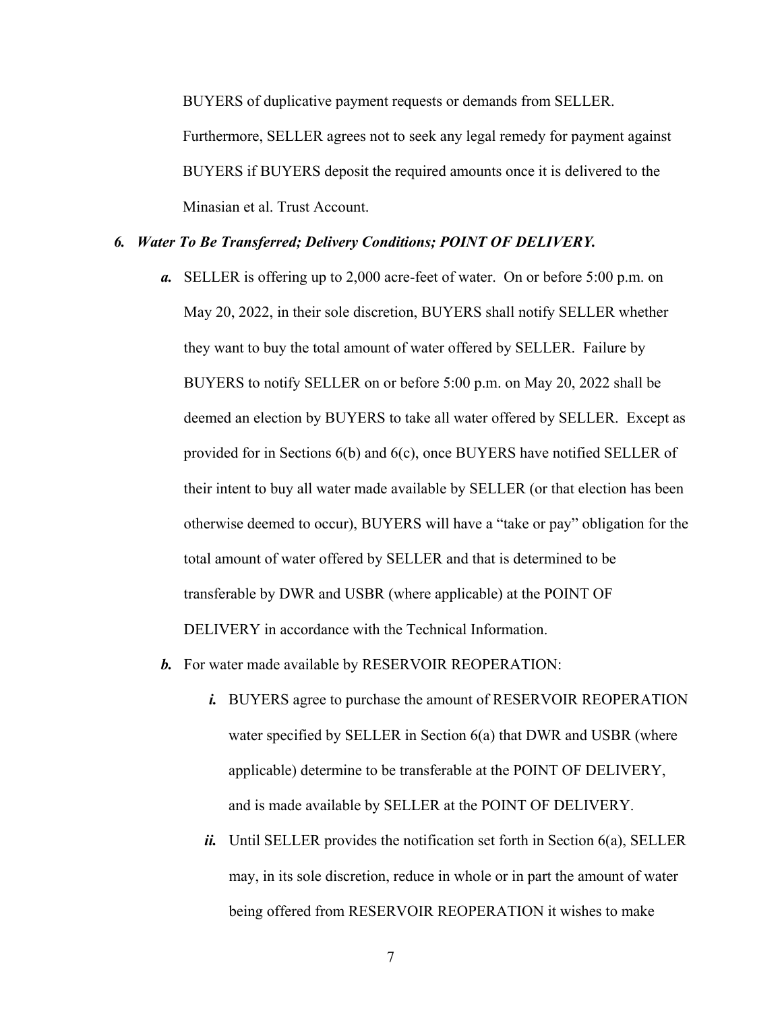BUYERS of duplicative payment requests or demands from SELLER. Furthermore, SELLER agrees not to seek any legal remedy for payment against BUYERS if BUYERS deposit the required amounts once it is delivered to the Minasian et al. Trust Account.

#### *6. Water To Be Transferred; Delivery Conditions; POINT OF DELIVERY.*

- *a.* SELLER is offering up to 2,000 acre-feet of water. On or before 5:00 p.m. on May 20, 2022, in their sole discretion, BUYERS shall notify SELLER whether they want to buy the total amount of water offered by SELLER. Failure by BUYERS to notify SELLER on or before 5:00 p.m. on May 20, 2022 shall be deemed an election by BUYERS to take all water offered by SELLER. Except as provided for in Sections 6(b) and 6(c), once BUYERS have notified SELLER of their intent to buy all water made available by SELLER (or that election has been otherwise deemed to occur), BUYERS will have a "take or pay" obligation for the total amount of water offered by SELLER and that is determined to be transferable by DWR and USBR (where applicable) at the POINT OF DELIVERY in accordance with the Technical Information.
- *b.* For water made available by RESERVOIR REOPERATION:
	- *i.* BUYERS agree to purchase the amount of RESERVOIR REOPERATION water specified by SELLER in Section 6(a) that DWR and USBR (where applicable) determine to be transferable at the POINT OF DELIVERY, and is made available by SELLER at the POINT OF DELIVERY.
	- *ii.* Until SELLER provides the notification set forth in Section  $6(a)$ , SELLER may, in its sole discretion, reduce in whole or in part the amount of water being offered from RESERVOIR REOPERATION it wishes to make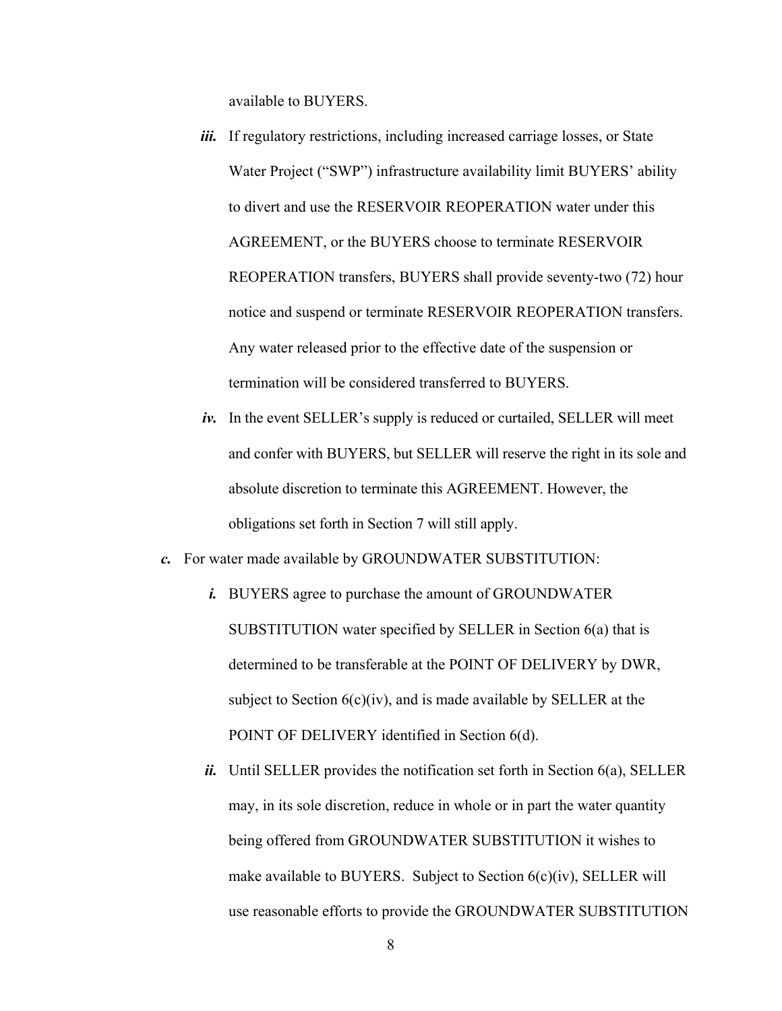available to BUYERS.

- *iii.* If regulatory restrictions, including increased carriage losses, or State Water Project ("SWP") infrastructure availability limit BUYERS' ability to divert and use the RESERVOIR REOPERATION water under this AGREEMENT, or the BUYERS choose to terminate RESERVOIR REOPERATION transfers, BUYERS shall provide seventy-two (72) hour notice and suspend or terminate RESERVOIR REOPERATION transfers. Any water released prior to the effective date of the suspension or termination will be considered transferred to BUYERS.
- *iv.* In the event SELLER's supply is reduced or curtailed, SELLER will meet and confer with BUYERS, but SELLER will reserve the right in its sole and absolute discretion to terminate this AGREEMENT. However, the obligations set forth in Section 7 will still apply.
- *c.* For water made available by GROUNDWATER SUBSTITUTION:
	- *i.* BUYERS agree to purchase the amount of GROUNDWATER SUBSTITUTION water specified by SELLER in Section 6(a) that is determined to be transferable at the POINT OF DELIVERY by DWR, subject to Section  $6(c)(iv)$ , and is made available by SELLER at the POINT OF DELIVERY identified in Section 6(d).
	- *ii.* Until SELLER provides the notification set forth in Section 6(a), SELLER may, in its sole discretion, reduce in whole or in part the water quantity being offered from GROUNDWATER SUBSTITUTION it wishes to make available to BUYERS. Subject to Section 6(c)(iv), SELLER will use reasonable efforts to provide the GROUNDWATER SUBSTITUTION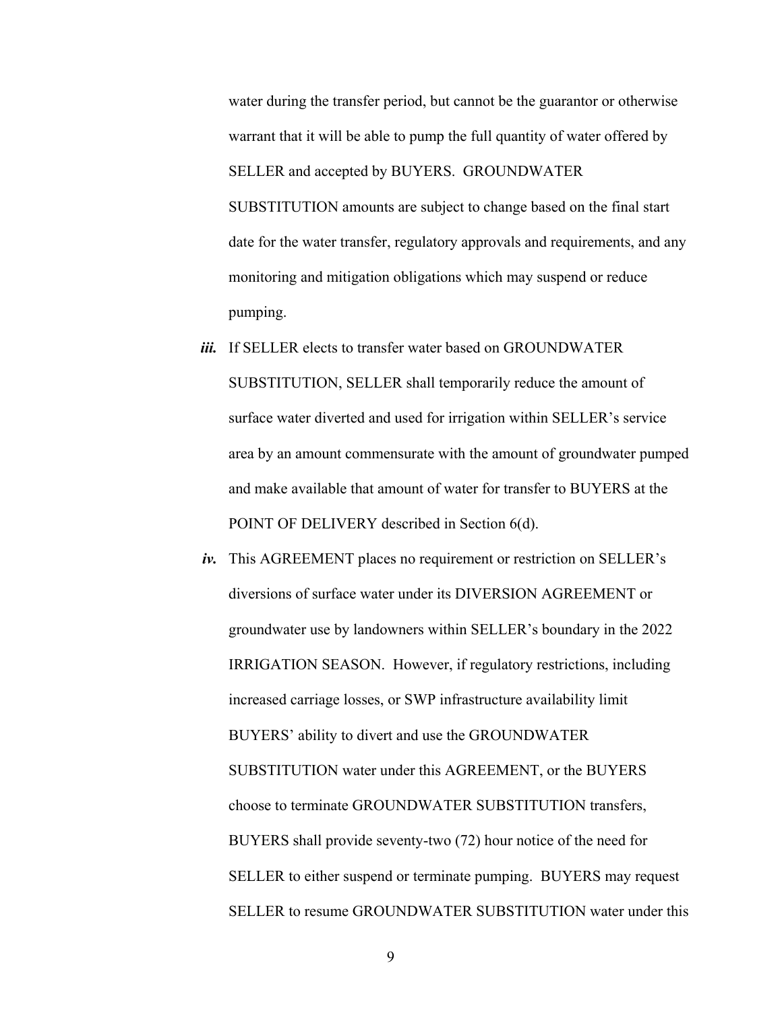water during the transfer period, but cannot be the guarantor or otherwise warrant that it will be able to pump the full quantity of water offered by SELLER and accepted by BUYERS. GROUNDWATER SUBSTITUTION amounts are subject to change based on the final start date for the water transfer, regulatory approvals and requirements, and any monitoring and mitigation obligations which may suspend or reduce pumping.

- *iii.* If SELLER elects to transfer water based on GROUNDWATER SUBSTITUTION, SELLER shall temporarily reduce the amount of surface water diverted and used for irrigation within SELLER's service area by an amount commensurate with the amount of groundwater pumped and make available that amount of water for transfer to BUYERS at the POINT OF DELIVERY described in Section 6(d).
- *iv.* This AGREEMENT places no requirement or restriction on SELLER's diversions of surface water under its DIVERSION AGREEMENT or groundwater use by landowners within SELLER's boundary in the 2022 IRRIGATION SEASON. However, if regulatory restrictions, including increased carriage losses, or SWP infrastructure availability limit BUYERS' ability to divert and use the GROUNDWATER SUBSTITUTION water under this AGREEMENT, or the BUYERS choose to terminate GROUNDWATER SUBSTITUTION transfers, BUYERS shall provide seventy-two (72) hour notice of the need for SELLER to either suspend or terminate pumping. BUYERS may request SELLER to resume GROUNDWATER SUBSTITUTION water under this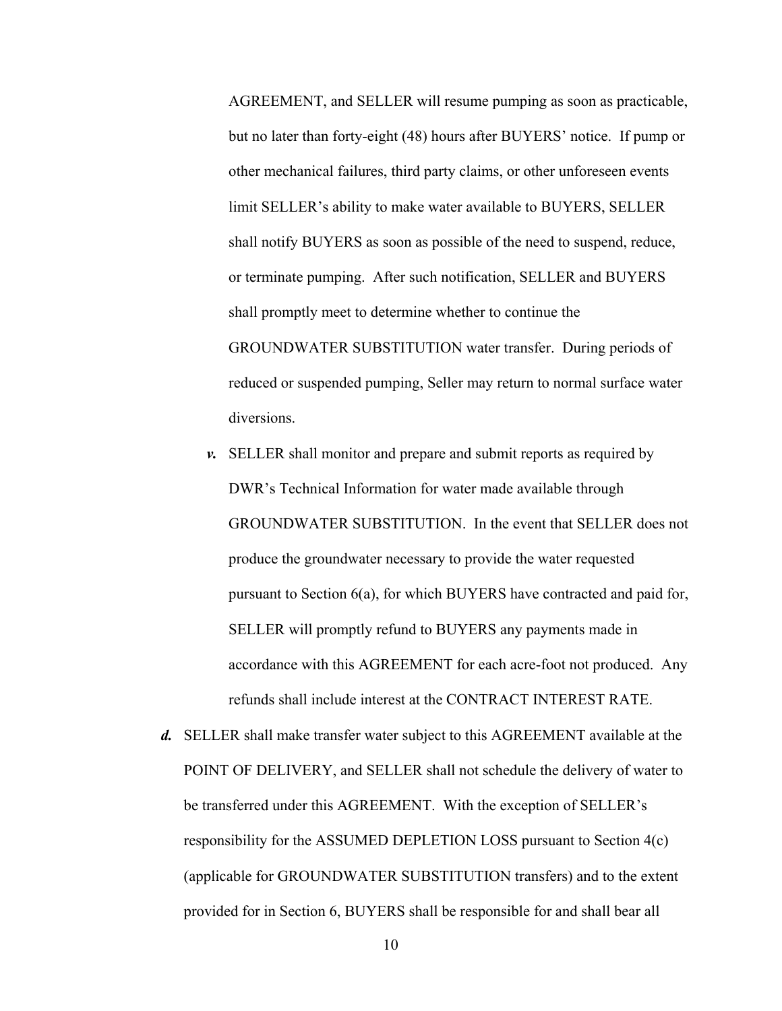AGREEMENT, and SELLER will resume pumping as soon as practicable, but no later than forty-eight (48) hours after BUYERS' notice. If pump or other mechanical failures, third party claims, or other unforeseen events limit SELLER's ability to make water available to BUYERS, SELLER shall notify BUYERS as soon as possible of the need to suspend, reduce, or terminate pumping. After such notification, SELLER and BUYERS shall promptly meet to determine whether to continue the GROUNDWATER SUBSTITUTION water transfer. During periods of reduced or suspended pumping, Seller may return to normal surface water diversions.

- *v.* SELLER shall monitor and prepare and submit reports as required by DWR's Technical Information for water made available through GROUNDWATER SUBSTITUTION. In the event that SELLER does not produce the groundwater necessary to provide the water requested pursuant to Section 6(a), for which BUYERS have contracted and paid for, SELLER will promptly refund to BUYERS any payments made in accordance with this AGREEMENT for each acre-foot not produced. Any refunds shall include interest at the CONTRACT INTEREST RATE.
- *d.* SELLER shall make transfer water subject to this AGREEMENT available at the POINT OF DELIVERY, and SELLER shall not schedule the delivery of water to be transferred under this AGREEMENT. With the exception of SELLER's responsibility for the ASSUMED DEPLETION LOSS pursuant to Section 4(c) (applicable for GROUNDWATER SUBSTITUTION transfers) and to the extent provided for in Section 6, BUYERS shall be responsible for and shall bear all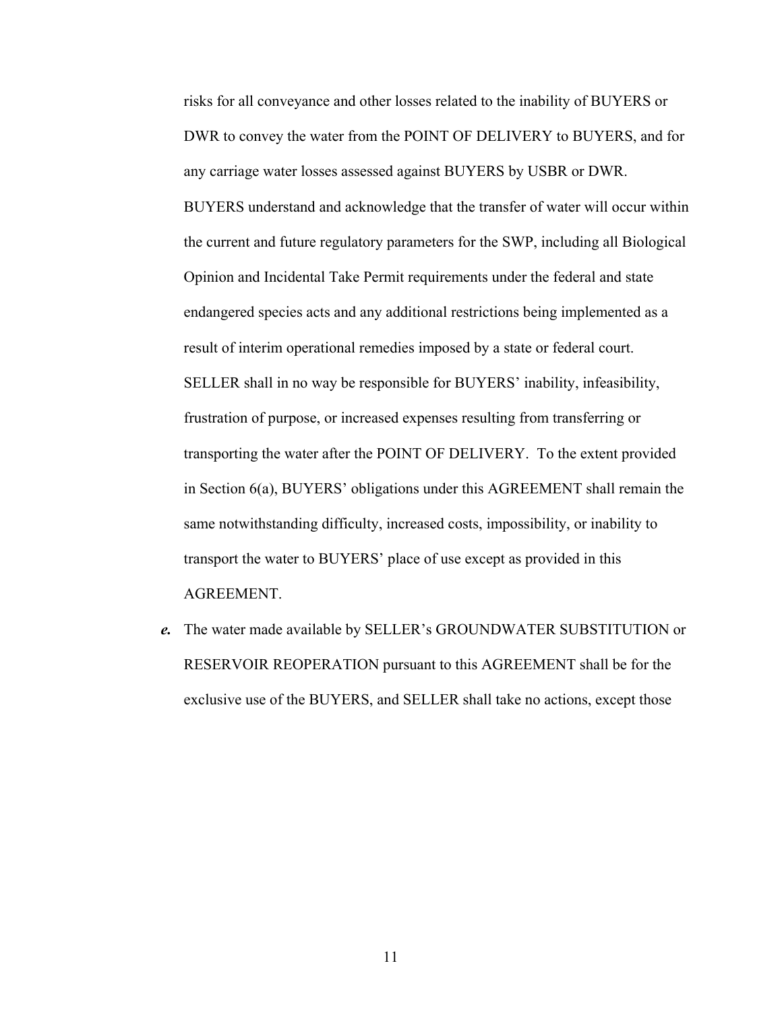risks for all conveyance and other losses related to the inability of BUYERS or DWR to convey the water from the POINT OF DELIVERY to BUYERS, and for any carriage water losses assessed against BUYERS by USBR or DWR. BUYERS understand and acknowledge that the transfer of water will occur within the current and future regulatory parameters for the SWP, including all Biological Opinion and Incidental Take Permit requirements under the federal and state endangered species acts and any additional restrictions being implemented as a result of interim operational remedies imposed by a state or federal court. SELLER shall in no way be responsible for BUYERS' inability, infeasibility, frustration of purpose, or increased expenses resulting from transferring or transporting the water after the POINT OF DELIVERY. To the extent provided in Section 6(a), BUYERS' obligations under this AGREEMENT shall remain the same notwithstanding difficulty, increased costs, impossibility, or inability to transport the water to BUYERS' place of use except as provided in this AGREEMENT.

*e.* The water made available by SELLER's GROUNDWATER SUBSTITUTION or RESERVOIR REOPERATION pursuant to this AGREEMENT shall be for the exclusive use of the BUYERS, and SELLER shall take no actions, except those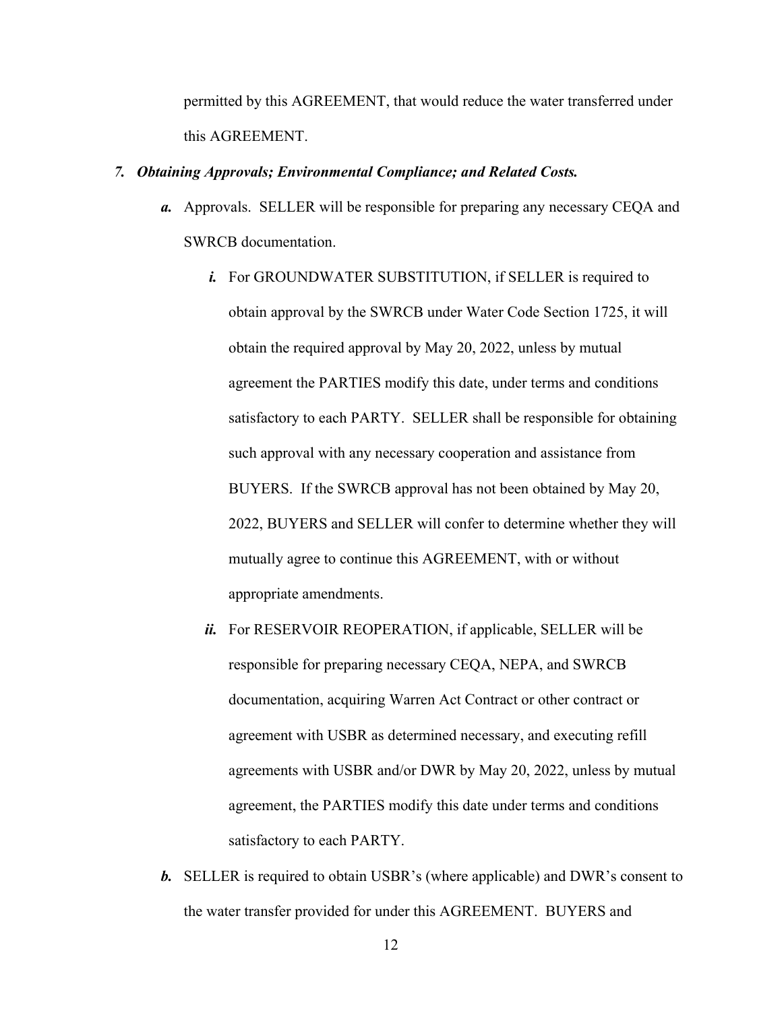permitted by this AGREEMENT, that would reduce the water transferred under this AGREEMENT.

## *7. Obtaining Approvals; Environmental Compliance; and Related Costs.*

- *a.* Approvals. SELLER will be responsible for preparing any necessary CEQA and SWRCB documentation.
	- *i.* For GROUNDWATER SUBSTITUTION, if SELLER is required to obtain approval by the SWRCB under Water Code Section 1725, it will obtain the required approval by May 20, 2022, unless by mutual agreement the PARTIES modify this date, under terms and conditions satisfactory to each PARTY. SELLER shall be responsible for obtaining such approval with any necessary cooperation and assistance from BUYERS. If the SWRCB approval has not been obtained by May 20, 2022, BUYERS and SELLER will confer to determine whether they will mutually agree to continue this AGREEMENT, with or without appropriate amendments.
	- *ii.* For RESERVOIR REOPERATION, if applicable, SELLER will be responsible for preparing necessary CEQA, NEPA, and SWRCB documentation, acquiring Warren Act Contract or other contract or agreement with USBR as determined necessary, and executing refill agreements with USBR and/or DWR by May 20, 2022, unless by mutual agreement, the PARTIES modify this date under terms and conditions satisfactory to each PARTY.
- *b.* SELLER is required to obtain USBR's (where applicable) and DWR's consent to the water transfer provided for under this AGREEMENT. BUYERS and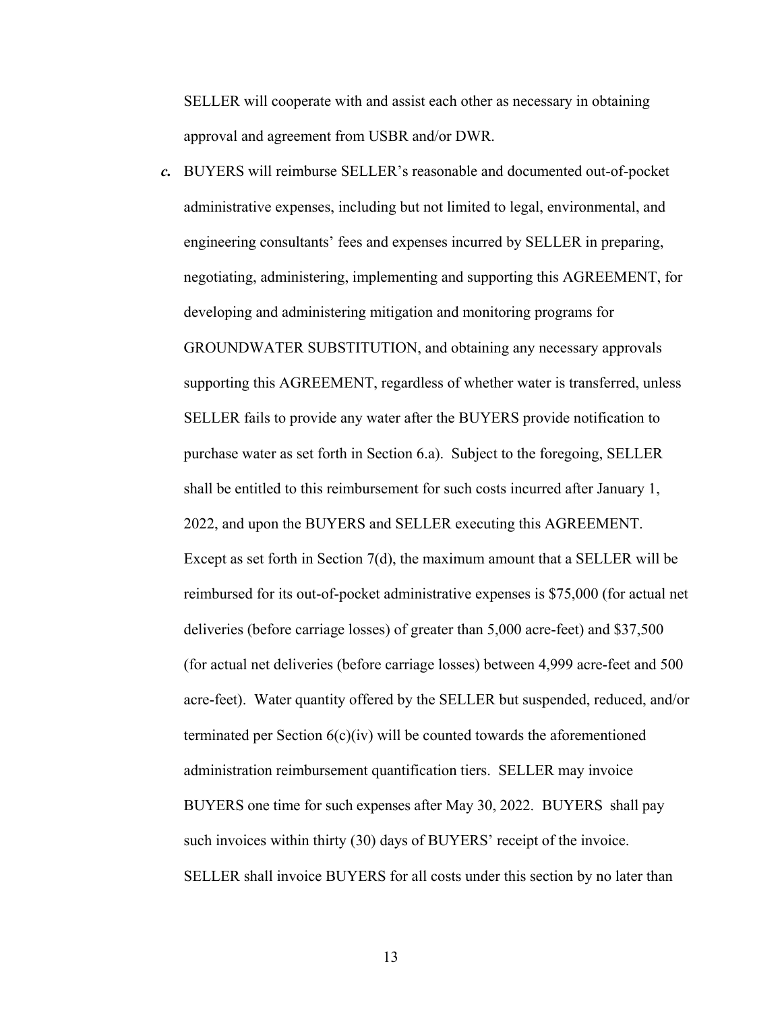SELLER will cooperate with and assist each other as necessary in obtaining approval and agreement from USBR and/or DWR.

*c.* BUYERS will reimburse SELLER's reasonable and documented out-of-pocket administrative expenses, including but not limited to legal, environmental, and engineering consultants' fees and expenses incurred by SELLER in preparing, negotiating, administering, implementing and supporting this AGREEMENT, for developing and administering mitigation and monitoring programs for GROUNDWATER SUBSTITUTION, and obtaining any necessary approvals supporting this AGREEMENT, regardless of whether water is transferred, unless SELLER fails to provide any water after the BUYERS provide notification to purchase water as set forth in Section 6.a). Subject to the foregoing, SELLER shall be entitled to this reimbursement for such costs incurred after January 1, 2022, and upon the BUYERS and SELLER executing this AGREEMENT. Except as set forth in Section 7(d), the maximum amount that a SELLER will be reimbursed for its out-of-pocket administrative expenses is \$75,000 (for actual net deliveries (before carriage losses) of greater than 5,000 acre-feet) and \$37,500 (for actual net deliveries (before carriage losses) between 4,999 acre-feet and 500 acre-feet). Water quantity offered by the SELLER but suspended, reduced, and/or terminated per Section  $6(c)(iv)$  will be counted towards the aforementioned administration reimbursement quantification tiers. SELLER may invoice BUYERS one time for such expenses after May 30, 2022. BUYERS shall pay such invoices within thirty (30) days of BUYERS' receipt of the invoice. SELLER shall invoice BUYERS for all costs under this section by no later than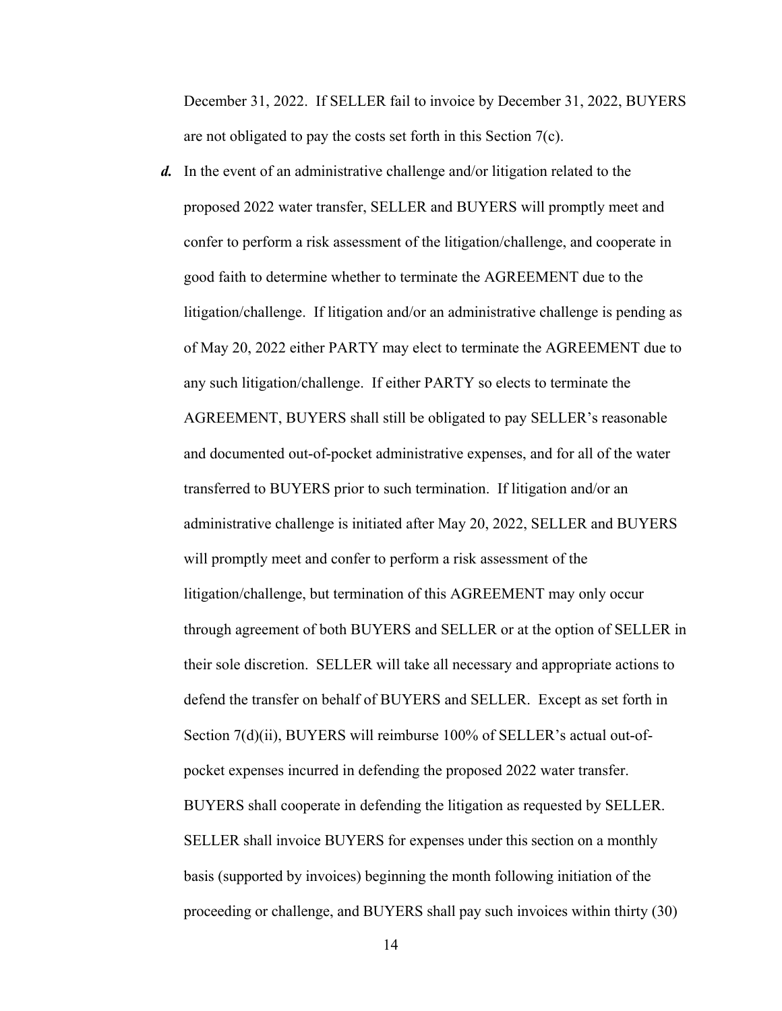December 31, 2022. If SELLER fail to invoice by December 31, 2022, BUYERS are not obligated to pay the costs set forth in this Section 7(c).

*d.* In the event of an administrative challenge and/or litigation related to the proposed 2022 water transfer, SELLER and BUYERS will promptly meet and confer to perform a risk assessment of the litigation/challenge, and cooperate in good faith to determine whether to terminate the AGREEMENT due to the litigation/challenge. If litigation and/or an administrative challenge is pending as of May 20, 2022 either PARTY may elect to terminate the AGREEMENT due to any such litigation/challenge. If either PARTY so elects to terminate the AGREEMENT, BUYERS shall still be obligated to pay SELLER's reasonable and documented out-of-pocket administrative expenses, and for all of the water transferred to BUYERS prior to such termination. If litigation and/or an administrative challenge is initiated after May 20, 2022, SELLER and BUYERS will promptly meet and confer to perform a risk assessment of the litigation/challenge, but termination of this AGREEMENT may only occur through agreement of both BUYERS and SELLER or at the option of SELLER in their sole discretion. SELLER will take all necessary and appropriate actions to defend the transfer on behalf of BUYERS and SELLER. Except as set forth in Section 7(d)(ii), BUYERS will reimburse 100% of SELLER's actual out-ofpocket expenses incurred in defending the proposed 2022 water transfer. BUYERS shall cooperate in defending the litigation as requested by SELLER. SELLER shall invoice BUYERS for expenses under this section on a monthly basis (supported by invoices) beginning the month following initiation of the proceeding or challenge, and BUYERS shall pay such invoices within thirty (30)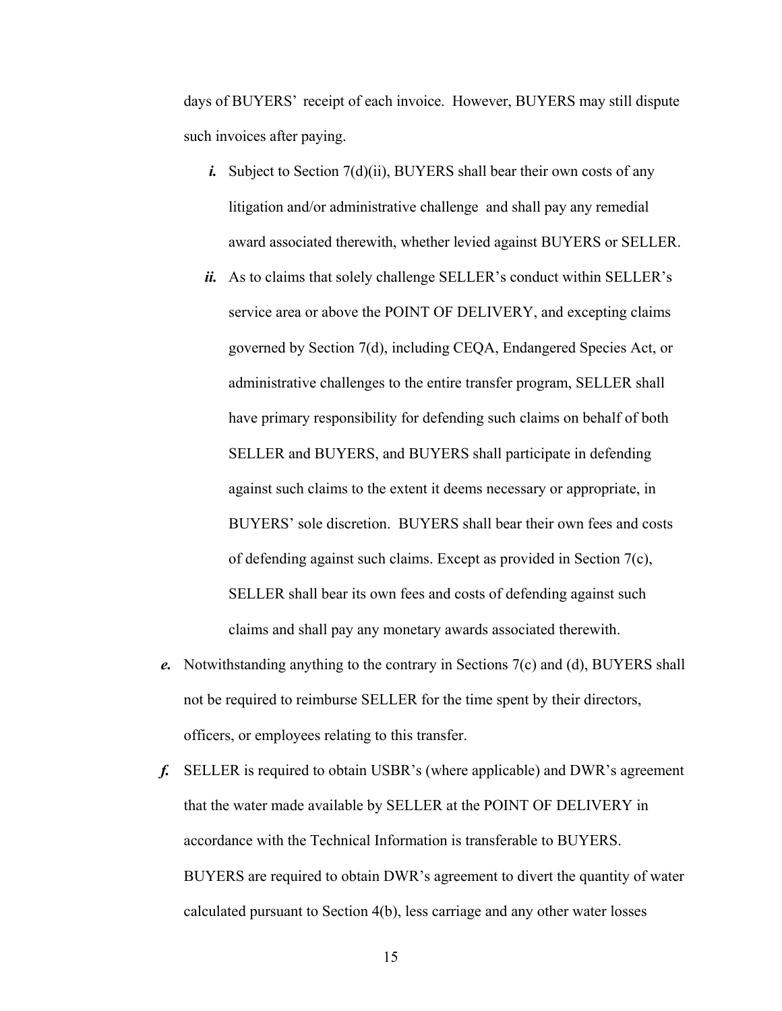days of BUYERS' receipt of each invoice. However, BUYERS may still dispute such invoices after paying.

- *i.* Subject to Section 7(d)(ii), BUYERS shall bear their own costs of any litigation and/or administrative challenge and shall pay any remedial award associated therewith, whether levied against BUYERS or SELLER.
- *ii.* As to claims that solely challenge SELLER's conduct within SELLER's service area or above the POINT OF DELIVERY, and excepting claims governed by Section 7(d), including CEQA, Endangered Species Act, or administrative challenges to the entire transfer program, SELLER shall have primary responsibility for defending such claims on behalf of both SELLER and BUYERS, and BUYERS shall participate in defending against such claims to the extent it deems necessary or appropriate, in BUYERS' sole discretion. BUYERS shall bear their own fees and costs of defending against such claims. Except as provided in Section 7(c), SELLER shall bear its own fees and costs of defending against such claims and shall pay any monetary awards associated therewith.
- *e.* Notwithstanding anything to the contrary in Sections 7(c) and (d), BUYERS shall not be required to reimburse SELLER for the time spent by their directors, officers, or employees relating to this transfer.
- *f.* SELLER is required to obtain USBR's (where applicable) and DWR's agreement that the water made available by SELLER at the POINT OF DELIVERY in accordance with the Technical Information is transferable to BUYERS. BUYERS are required to obtain DWR's agreement to divert the quantity of water calculated pursuant to Section 4(b), less carriage and any other water losses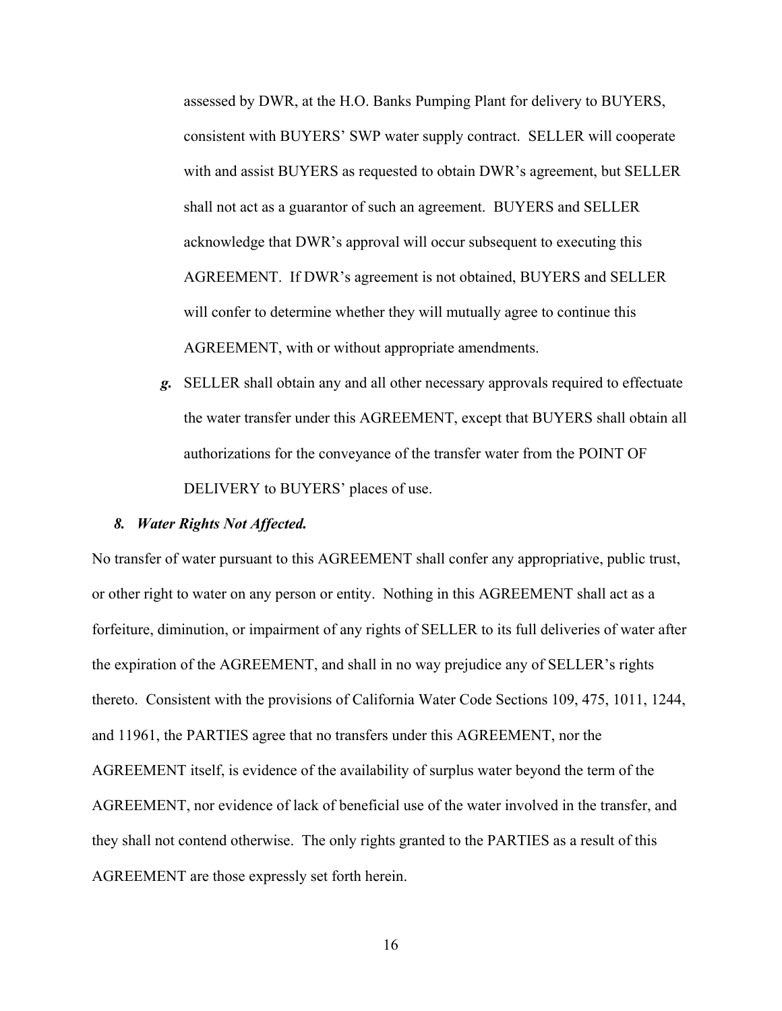assessed by DWR, at the H.O. Banks Pumping Plant for delivery to BUYERS, consistent with BUYERS' SWP water supply contract. SELLER will cooperate with and assist BUYERS as requested to obtain DWR's agreement, but SELLER shall not act as a guarantor of such an agreement. BUYERS and SELLER acknowledge that DWR's approval will occur subsequent to executing this AGREEMENT. If DWR's agreement is not obtained, BUYERS and SELLER will confer to determine whether they will mutually agree to continue this AGREEMENT, with or without appropriate amendments.

*g.* SELLER shall obtain any and all other necessary approvals required to effectuate the water transfer under this AGREEMENT, except that BUYERS shall obtain all authorizations for the conveyance of the transfer water from the POINT OF DELIVERY to BUYERS' places of use.

#### *8. Water Rights Not Affected.*

No transfer of water pursuant to this AGREEMENT shall confer any appropriative, public trust, or other right to water on any person or entity. Nothing in this AGREEMENT shall act as a forfeiture, diminution, or impairment of any rights of SELLER to its full deliveries of water after the expiration of the AGREEMENT, and shall in no way prejudice any of SELLER's rights thereto. Consistent with the provisions of California Water Code Sections 109, 475, 1011, 1244, and 11961, the PARTIES agree that no transfers under this AGREEMENT, nor the AGREEMENT itself, is evidence of the availability of surplus water beyond the term of the AGREEMENT, nor evidence of lack of beneficial use of the water involved in the transfer, and they shall not contend otherwise. The only rights granted to the PARTIES as a result of this AGREEMENT are those expressly set forth herein.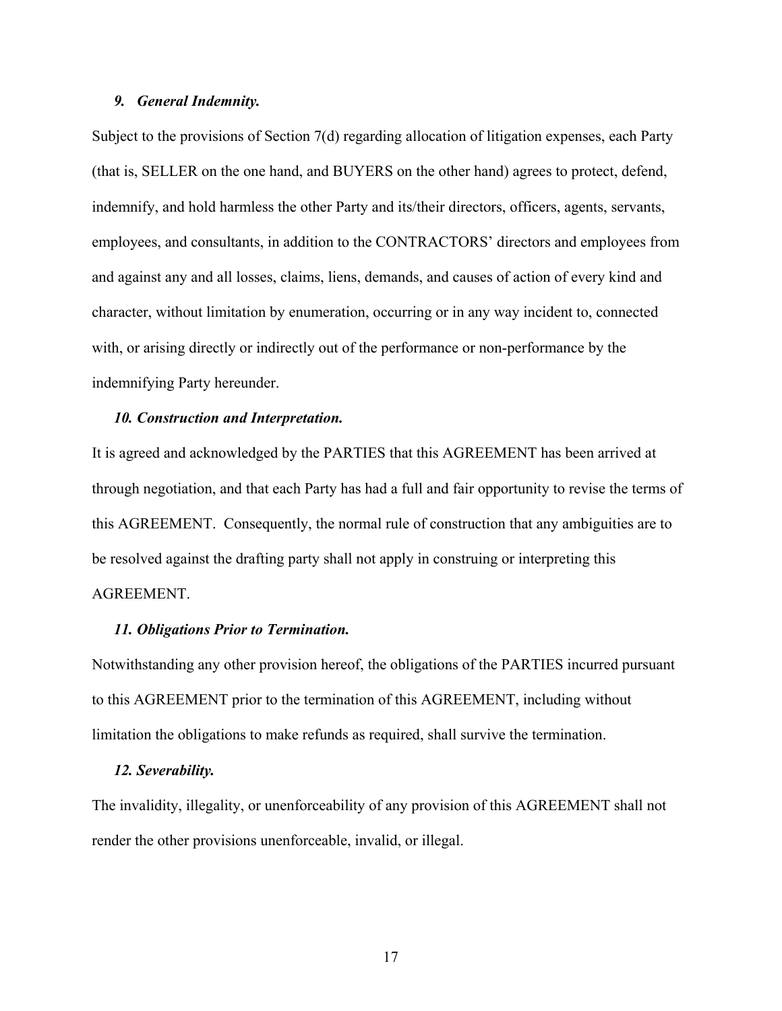#### *9. General Indemnity.*

Subject to the provisions of Section 7(d) regarding allocation of litigation expenses, each Party (that is, SELLER on the one hand, and BUYERS on the other hand) agrees to protect, defend, indemnify, and hold harmless the other Party and its/their directors, officers, agents, servants, employees, and consultants, in addition to the CONTRACTORS' directors and employees from and against any and all losses, claims, liens, demands, and causes of action of every kind and character, without limitation by enumeration, occurring or in any way incident to, connected with, or arising directly or indirectly out of the performance or non-performance by the indemnifying Party hereunder.

#### *10. Construction and Interpretation.*

It is agreed and acknowledged by the PARTIES that this AGREEMENT has been arrived at through negotiation, and that each Party has had a full and fair opportunity to revise the terms of this AGREEMENT. Consequently, the normal rule of construction that any ambiguities are to be resolved against the drafting party shall not apply in construing or interpreting this AGREEMENT.

#### *11. Obligations Prior to Termination.*

Notwithstanding any other provision hereof, the obligations of the PARTIES incurred pursuant to this AGREEMENT prior to the termination of this AGREEMENT, including without limitation the obligations to make refunds as required, shall survive the termination.

#### *12. Severability.*

The invalidity, illegality, or unenforceability of any provision of this AGREEMENT shall not render the other provisions unenforceable, invalid, or illegal.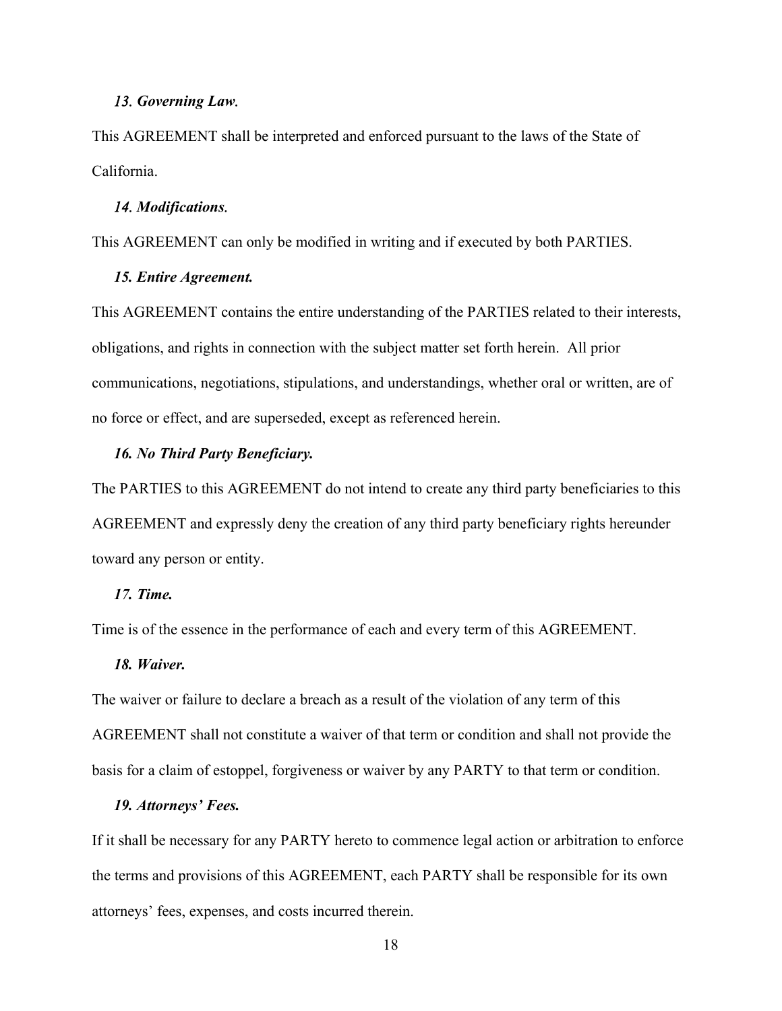#### *13. Governing Law.*

This AGREEMENT shall be interpreted and enforced pursuant to the laws of the State of California.

#### *14. Modifications.*

This AGREEMENT can only be modified in writing and if executed by both PARTIES.

## *15. Entire Agreement.*

This AGREEMENT contains the entire understanding of the PARTIES related to their interests, obligations, and rights in connection with the subject matter set forth herein. All prior communications, negotiations, stipulations, and understandings, whether oral or written, are of no force or effect, and are superseded, except as referenced herein.

#### *16. No Third Party Beneficiary.*

The PARTIES to this AGREEMENT do not intend to create any third party beneficiaries to this AGREEMENT and expressly deny the creation of any third party beneficiary rights hereunder toward any person or entity.

#### *17. Time.*

Time is of the essence in the performance of each and every term of this AGREEMENT.

#### *18. Waiver.*

The waiver or failure to declare a breach as a result of the violation of any term of this AGREEMENT shall not constitute a waiver of that term or condition and shall not provide the basis for a claim of estoppel, forgiveness or waiver by any PARTY to that term or condition.

#### *19. Attorneys' Fees.*

If it shall be necessary for any PARTY hereto to commence legal action or arbitration to enforce the terms and provisions of this AGREEMENT, each PARTY shall be responsible for its own attorneys' fees, expenses, and costs incurred therein.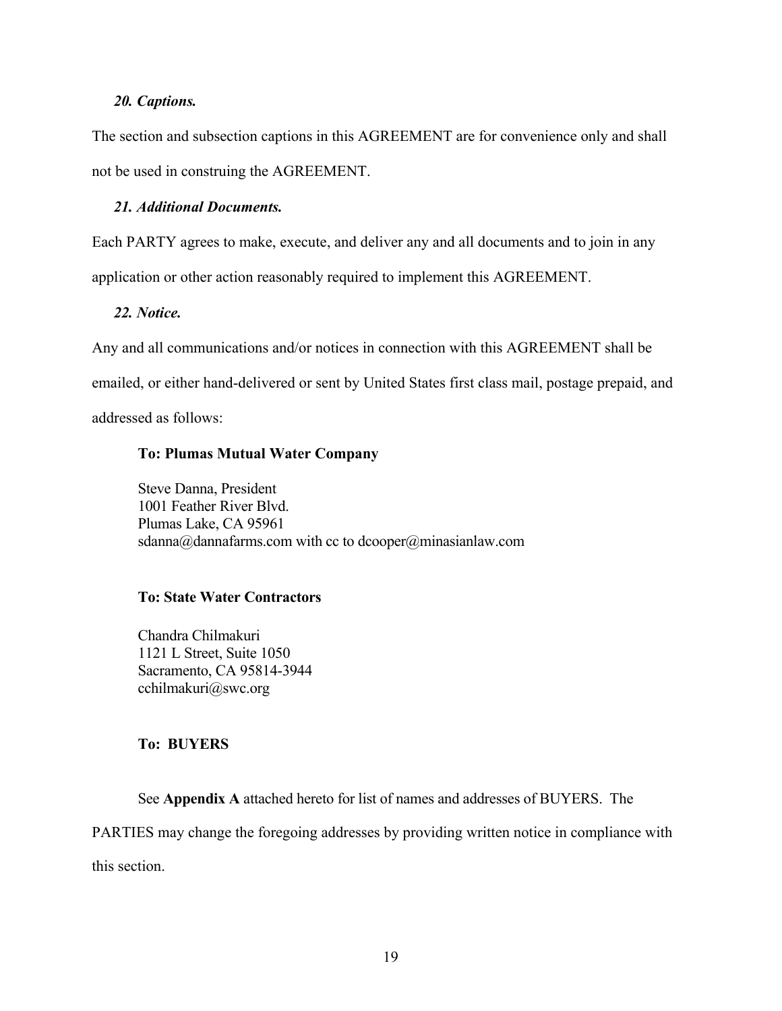## *20. Captions.*

The section and subsection captions in this AGREEMENT are for convenience only and shall not be used in construing the AGREEMENT.

## *21. Additional Documents.*

Each PARTY agrees to make, execute, and deliver any and all documents and to join in any application or other action reasonably required to implement this AGREEMENT.

## *22. Notice.*

Any and all communications and/or notices in connection with this AGREEMENT shall be emailed, or either hand-delivered or sent by United States first class mail, postage prepaid, and addressed as follows:

## **To: Plumas Mutual Water Company**

 Steve Danna, President 1001 Feather River Blvd. Plumas Lake, CA 95961 sdanna@dannafarms.com with cc to dcooper@minasianlaw.com

## **To: State Water Contractors**

 Chandra Chilmakuri 1121 L Street, Suite 1050 Sacramento, CA 95814-3944 cchilmakuri@swc.org

## **To: BUYERS**

See **Appendix A** attached hereto for list of names and addresses of BUYERS. The

PARTIES may change the foregoing addresses by providing written notice in compliance with this section.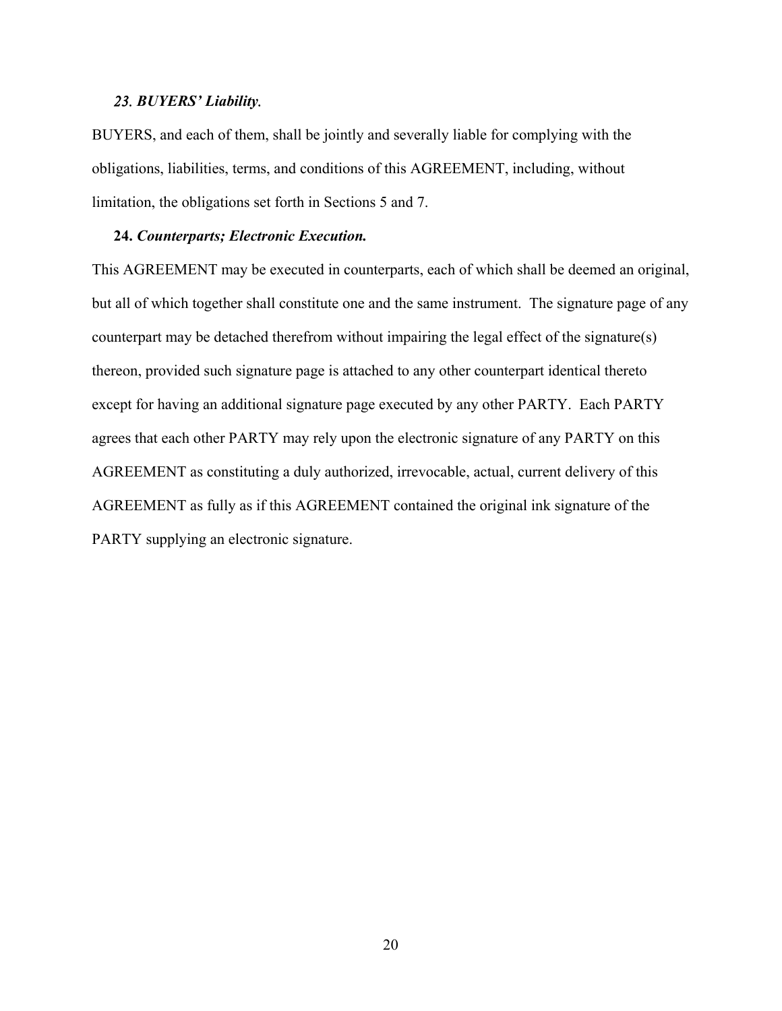#### *23. BUYERS' Liability.*

BUYERS, and each of them, shall be jointly and severally liable for complying with the obligations, liabilities, terms, and conditions of this AGREEMENT, including, without limitation, the obligations set forth in Sections 5 and 7.

#### **24.** *Counterparts; Electronic Execution.*

This AGREEMENT may be executed in counterparts, each of which shall be deemed an original, but all of which together shall constitute one and the same instrument. The signature page of any counterpart may be detached therefrom without impairing the legal effect of the signature(s) thereon, provided such signature page is attached to any other counterpart identical thereto except for having an additional signature page executed by any other PARTY. Each PARTY agrees that each other PARTY may rely upon the electronic signature of any PARTY on this AGREEMENT as constituting a duly authorized, irrevocable, actual, current delivery of this AGREEMENT as fully as if this AGREEMENT contained the original ink signature of the PARTY supplying an electronic signature.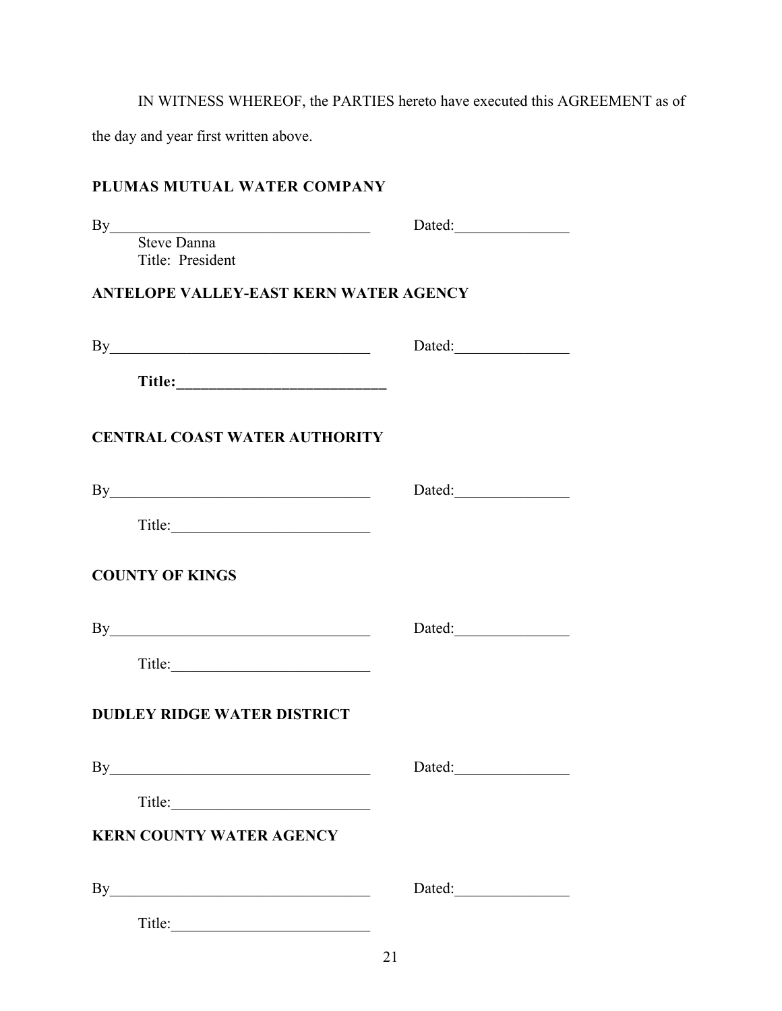IN WITNESS WHEREOF, the PARTIES hereto have executed this AGREEMENT as of

the day and year first written above.

## **PLUMAS MUTUAL WATER COMPANY**

| Dated:                                 |
|----------------------------------------|
|                                        |
| ANTELOPE VALLEY-EAST KERN WATER AGENCY |
| By<br>Dated:                           |
|                                        |
| <b>CENTRAL COAST WATER AUTHORITY</b>   |
| By<br>Dated:                           |
|                                        |
|                                        |
| By                                     |
|                                        |
| <b>DUDLEY RIDGE WATER DISTRICT</b>     |
| By<br>Dated:                           |
| Title:                                 |
| <b>KERN COUNTY WATER AGENCY</b>        |
| By<br>Dated:                           |
|                                        |
|                                        |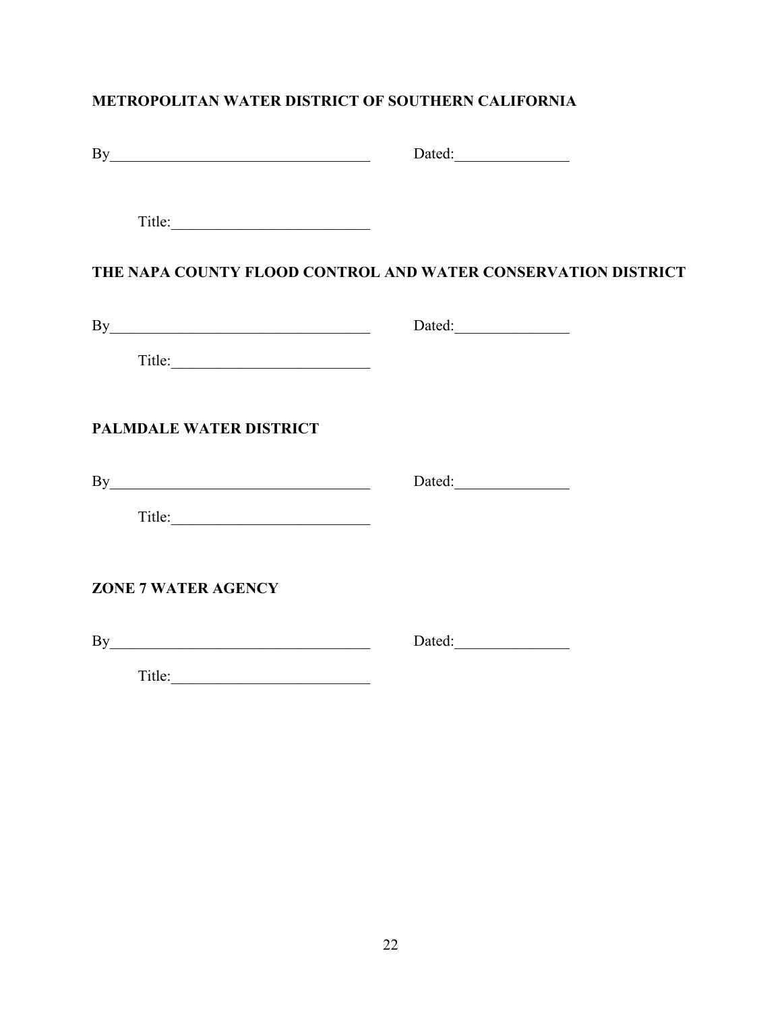## **METROPOLITAN WATER DISTRICT OF SOUTHERN CALIFORNIA**

| By                             | Dated:                                                        |
|--------------------------------|---------------------------------------------------------------|
| Title:                         |                                                               |
|                                | THE NAPA COUNTY FLOOD CONTROL AND WATER CONSERVATION DISTRICT |
| By                             | Dated:                                                        |
| Title:                         |                                                               |
| <b>PALMDALE WATER DISTRICT</b> |                                                               |
| By                             |                                                               |
|                                |                                                               |
| <b>ZONE 7 WATER AGENCY</b>     |                                                               |
| By                             |                                                               |
|                                |                                                               |